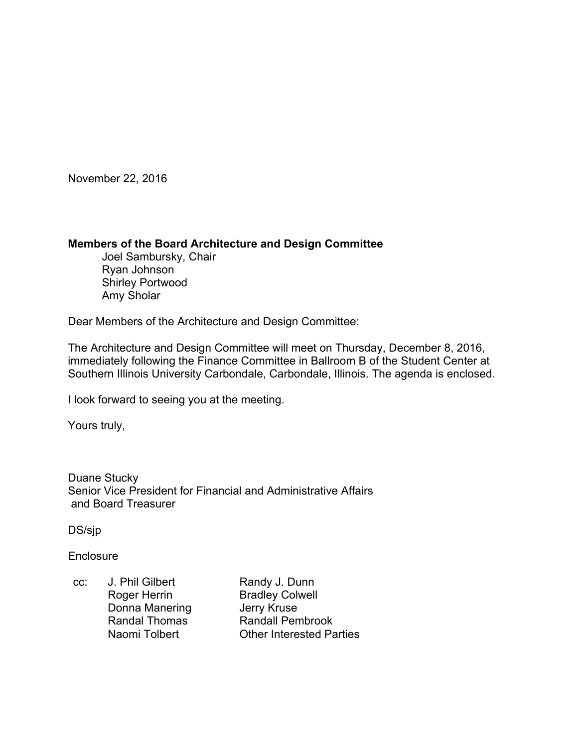November 22, 2016

#### **Members of the Board Architecture and Design Committee**

 Joel Sambursky, Chair Ryan Johnson Shirley Portwood Amy Sholar

Dear Members of the Architecture and Design Committee:

The Architecture and Design Committee will meet on Thursday, December 8, 2016, immediately following the Finance Committee in Ballroom B of the Student Center at Southern Illinois University Carbondale, Carbondale, Illinois. The agenda is enclosed.

I look forward to seeing you at the meeting.

Yours truly,

Duane Stucky Senior Vice President for Financial and Administrative Affairs and Board Treasurer

DS/sjp

**Enclosure** 

cc: J. Phil Gilbert Randy J. Dunn Roger Herrin Bradley Colwell Donna Manering **Jerry Kruse** Randal Thomas Randall Pembrook Naomi Tolbert **Other Interested Parties**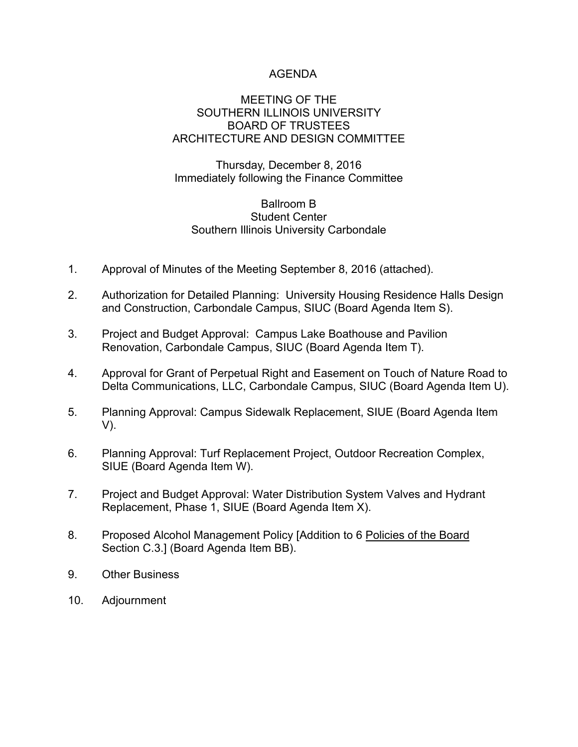# AGENDA

### MEETING OF THE SOUTHERN ILLINOIS UNIVERSITY BOARD OF TRUSTEES ARCHITECTURE AND DESIGN COMMITTEE

Thursday, December 8, 2016 Immediately following the Finance Committee

# Ballroom B Student Center Southern Illinois University Carbondale

- 1. Approval of Minutes of the Meeting September 8, 2016 (attached).
- 2. Authorization for Detailed Planning: University Housing Residence Halls Design and Construction, Carbondale Campus, SIUC (Board Agenda Item S).
- 3. Project and Budget Approval: Campus Lake Boathouse and Pavilion Renovation, Carbondale Campus, SIUC (Board Agenda Item T).
- 4. Approval for Grant of Perpetual Right and Easement on Touch of Nature Road to Delta Communications, LLC, Carbondale Campus, SIUC (Board Agenda Item U).
- 5. Planning Approval: Campus Sidewalk Replacement, SIUE (Board Agenda Item V).
- 6. Planning Approval: Turf Replacement Project, Outdoor Recreation Complex, SIUE (Board Agenda Item W).
- 7. Project and Budget Approval: Water Distribution System Valves and Hydrant Replacement, Phase 1, SIUE (Board Agenda Item X).
- 8. Proposed Alcohol Management Policy [Addition to 6 Policies of the Board Section C.3.] (Board Agenda Item BB).
- 9. Other Business
- 10. Adjournment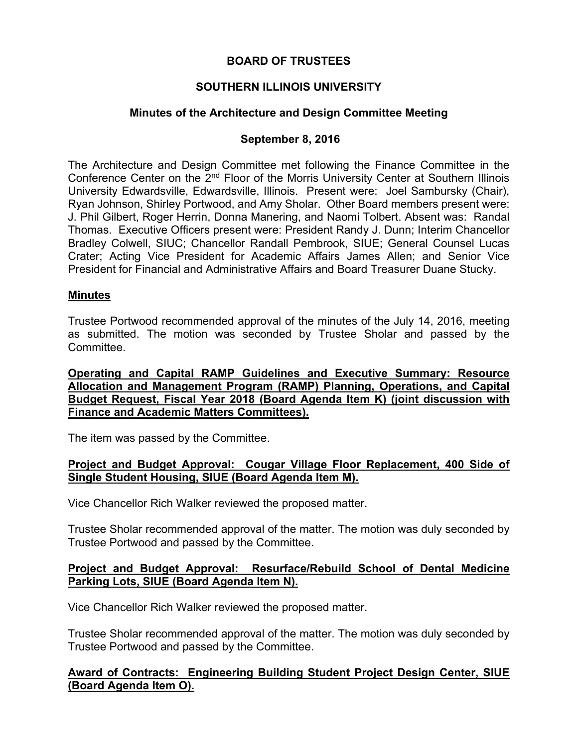## **BOARD OF TRUSTEES**

# **SOUTHERN ILLINOIS UNIVERSITY**

# **Minutes of the Architecture and Design Committee Meeting**

### **September 8, 2016**

The Architecture and Design Committee met following the Finance Committee in the Conference Center on the 2<sup>nd</sup> Floor of the Morris University Center at Southern Illinois University Edwardsville, Edwardsville, Illinois. Present were: Joel Sambursky (Chair), Ryan Johnson, Shirley Portwood, and Amy Sholar. Other Board members present were: J. Phil Gilbert, Roger Herrin, Donna Manering, and Naomi Tolbert. Absent was: Randal Thomas. Executive Officers present were: President Randy J. Dunn; Interim Chancellor Bradley Colwell, SIUC; Chancellor Randall Pembrook, SIUE; General Counsel Lucas Crater; Acting Vice President for Academic Affairs James Allen; and Senior Vice President for Financial and Administrative Affairs and Board Treasurer Duane Stucky.

#### **Minutes**

Trustee Portwood recommended approval of the minutes of the July 14, 2016, meeting as submitted. The motion was seconded by Trustee Sholar and passed by the **Committee.** 

**Operating and Capital RAMP Guidelines and Executive Summary: Resource Allocation and Management Program (RAMP) Planning, Operations, and Capital Budget Request, Fiscal Year 2018 (Board Agenda Item K) (joint discussion with Finance and Academic Matters Committees).** 

The item was passed by the Committee.

#### **Project and Budget Approval: Cougar Village Floor Replacement, 400 Side of Single Student Housing, SIUE (Board Agenda Item M).**

Vice Chancellor Rich Walker reviewed the proposed matter.

Trustee Sholar recommended approval of the matter. The motion was duly seconded by Trustee Portwood and passed by the Committee.

### **Project and Budget Approval: Resurface/Rebuild School of Dental Medicine Parking Lots, SIUE (Board Agenda Item N).**

Vice Chancellor Rich Walker reviewed the proposed matter.

Trustee Sholar recommended approval of the matter. The motion was duly seconded by Trustee Portwood and passed by the Committee.

# **Award of Contracts: Engineering Building Student Project Design Center, SIUE (Board Agenda Item O).**